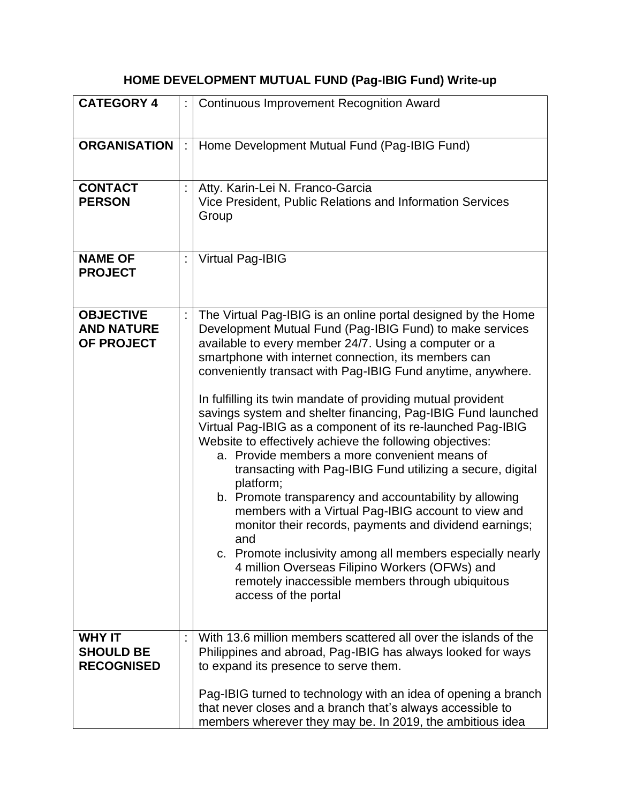## **HOME DEVELOPMENT MUTUAL FUND (Pag-IBIG Fund) Write-up**

| <b>CATEGORY 4</b>                                      | <b>Continuous Improvement Recognition Award</b>                                                                                                                                                                                                                                                                                                                                                                                                                                                                                                                                                                                                                                                                                                                                                                                                                                                                                                                                                                                                                                |
|--------------------------------------------------------|--------------------------------------------------------------------------------------------------------------------------------------------------------------------------------------------------------------------------------------------------------------------------------------------------------------------------------------------------------------------------------------------------------------------------------------------------------------------------------------------------------------------------------------------------------------------------------------------------------------------------------------------------------------------------------------------------------------------------------------------------------------------------------------------------------------------------------------------------------------------------------------------------------------------------------------------------------------------------------------------------------------------------------------------------------------------------------|
| <b>ORGANISATION</b>                                    | Home Development Mutual Fund (Pag-IBIG Fund)                                                                                                                                                                                                                                                                                                                                                                                                                                                                                                                                                                                                                                                                                                                                                                                                                                                                                                                                                                                                                                   |
| <b>CONTACT</b><br><b>PERSON</b>                        | Atty. Karin-Lei N. Franco-Garcia<br>Vice President, Public Relations and Information Services<br>Group                                                                                                                                                                                                                                                                                                                                                                                                                                                                                                                                                                                                                                                                                                                                                                                                                                                                                                                                                                         |
| <b>NAME OF</b><br><b>PROJECT</b>                       | <b>Virtual Pag-IBIG</b>                                                                                                                                                                                                                                                                                                                                                                                                                                                                                                                                                                                                                                                                                                                                                                                                                                                                                                                                                                                                                                                        |
| <b>OBJECTIVE</b><br><b>AND NATURE</b><br>OF PROJECT    | The Virtual Pag-IBIG is an online portal designed by the Home<br>Development Mutual Fund (Pag-IBIG Fund) to make services<br>available to every member 24/7. Using a computer or a<br>smartphone with internet connection, its members can<br>conveniently transact with Pag-IBIG Fund anytime, anywhere.<br>In fulfilling its twin mandate of providing mutual provident<br>savings system and shelter financing, Pag-IBIG Fund launched<br>Virtual Pag-IBIG as a component of its re-launched Pag-IBIG<br>Website to effectively achieve the following objectives:<br>a. Provide members a more convenient means of<br>transacting with Pag-IBIG Fund utilizing a secure, digital<br>platform;<br>b. Promote transparency and accountability by allowing<br>members with a Virtual Pag-IBIG account to view and<br>monitor their records, payments and dividend earnings;<br>and<br>c. Promote inclusivity among all members especially nearly<br>4 million Overseas Filipino Workers (OFWs) and<br>remotely inaccessible members through ubiquitous<br>access of the portal |
| <b>WHY IT</b><br><b>SHOULD BE</b><br><b>RECOGNISED</b> | With 13.6 million members scattered all over the islands of the<br>Philippines and abroad, Pag-IBIG has always looked for ways<br>to expand its presence to serve them.<br>Pag-IBIG turned to technology with an idea of opening a branch<br>that never closes and a branch that's always accessible to                                                                                                                                                                                                                                                                                                                                                                                                                                                                                                                                                                                                                                                                                                                                                                        |
|                                                        | members wherever they may be. In 2019, the ambitious idea                                                                                                                                                                                                                                                                                                                                                                                                                                                                                                                                                                                                                                                                                                                                                                                                                                                                                                                                                                                                                      |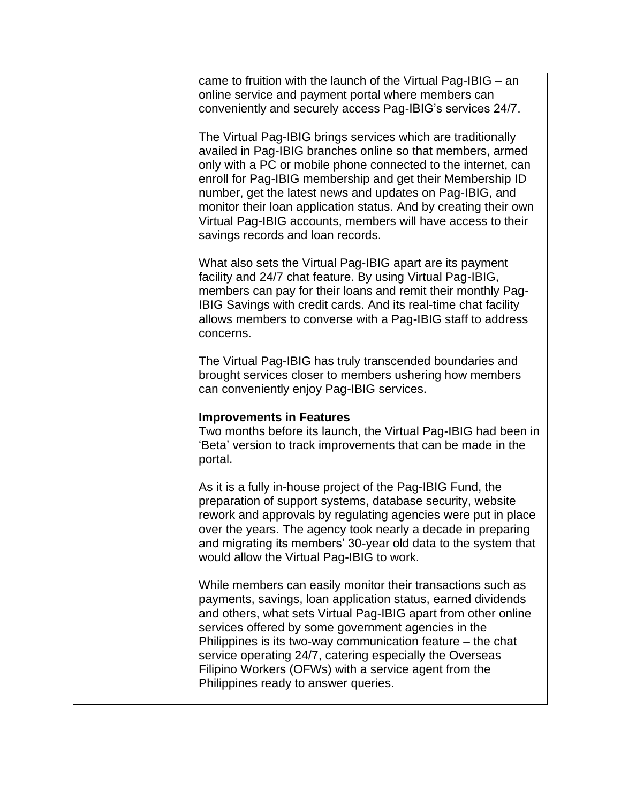| came to fruition with the launch of the Virtual Pag-IBIG $-$ an<br>online service and payment portal where members can<br>conveniently and securely access Pag-IBIG's services 24/7.<br>The Virtual Pag-IBIG brings services which are traditionally<br>availed in Pag-IBIG branches online so that members, armed<br>only with a PC or mobile phone connected to the internet, can<br>enroll for Pag-IBIG membership and get their Membership ID<br>number, get the latest news and updates on Pag-IBIG, and<br>monitor their loan application status. And by creating their own<br>Virtual Pag-IBIG accounts, members will have access to their<br>savings records and loan records.<br>What also sets the Virtual Pag-IBIG apart are its payment<br>facility and 24/7 chat feature. By using Virtual Pag-IBIG,<br>members can pay for their loans and remit their monthly Pag-<br>IBIG Savings with credit cards. And its real-time chat facility<br>allows members to converse with a Pag-IBIG staff to address<br>concerns.<br>The Virtual Pag-IBIG has truly transcended boundaries and<br>brought services closer to members ushering how members<br>can conveniently enjoy Pag-IBIG services.<br><b>Improvements in Features</b><br>Two months before its launch, the Virtual Pag-IBIG had been in<br>'Beta' version to track improvements that can be made in the<br>portal.<br>As it is a fully in-house project of the Pag-IBIG Fund, the<br>preparation of support systems, database security, website<br>rework and approvals by regulating agencies were put in place<br>over the years. The agency took nearly a decade in preparing<br>and migrating its members' 30-year old data to the system that<br>would allow the Virtual Pag-IBIG to work.<br>While members can easily monitor their transactions such as<br>payments, savings, loan application status, earned dividends<br>and others, what sets Virtual Pag-IBIG apart from other online<br>services offered by some government agencies in the<br>Philippines is its two-way communication feature $-$ the chat<br>service operating 24/7, catering especially the Overseas<br>Filipino Workers (OFWs) with a service agent from the<br>Philippines ready to answer queries. |  |
|----------------------------------------------------------------------------------------------------------------------------------------------------------------------------------------------------------------------------------------------------------------------------------------------------------------------------------------------------------------------------------------------------------------------------------------------------------------------------------------------------------------------------------------------------------------------------------------------------------------------------------------------------------------------------------------------------------------------------------------------------------------------------------------------------------------------------------------------------------------------------------------------------------------------------------------------------------------------------------------------------------------------------------------------------------------------------------------------------------------------------------------------------------------------------------------------------------------------------------------------------------------------------------------------------------------------------------------------------------------------------------------------------------------------------------------------------------------------------------------------------------------------------------------------------------------------------------------------------------------------------------------------------------------------------------------------------------------------------------------------------------------------------------------------------------------------------------------------------------------------------------------------------------------------------------------------------------------------------------------------------------------------------------------------------------------------------------------------------------------------------------------------------------------------------------------------------------------------------------------------------------|--|
|                                                                                                                                                                                                                                                                                                                                                                                                                                                                                                                                                                                                                                                                                                                                                                                                                                                                                                                                                                                                                                                                                                                                                                                                                                                                                                                                                                                                                                                                                                                                                                                                                                                                                                                                                                                                                                                                                                                                                                                                                                                                                                                                                                                                                                                          |  |
|                                                                                                                                                                                                                                                                                                                                                                                                                                                                                                                                                                                                                                                                                                                                                                                                                                                                                                                                                                                                                                                                                                                                                                                                                                                                                                                                                                                                                                                                                                                                                                                                                                                                                                                                                                                                                                                                                                                                                                                                                                                                                                                                                                                                                                                          |  |
|                                                                                                                                                                                                                                                                                                                                                                                                                                                                                                                                                                                                                                                                                                                                                                                                                                                                                                                                                                                                                                                                                                                                                                                                                                                                                                                                                                                                                                                                                                                                                                                                                                                                                                                                                                                                                                                                                                                                                                                                                                                                                                                                                                                                                                                          |  |
|                                                                                                                                                                                                                                                                                                                                                                                                                                                                                                                                                                                                                                                                                                                                                                                                                                                                                                                                                                                                                                                                                                                                                                                                                                                                                                                                                                                                                                                                                                                                                                                                                                                                                                                                                                                                                                                                                                                                                                                                                                                                                                                                                                                                                                                          |  |
|                                                                                                                                                                                                                                                                                                                                                                                                                                                                                                                                                                                                                                                                                                                                                                                                                                                                                                                                                                                                                                                                                                                                                                                                                                                                                                                                                                                                                                                                                                                                                                                                                                                                                                                                                                                                                                                                                                                                                                                                                                                                                                                                                                                                                                                          |  |
|                                                                                                                                                                                                                                                                                                                                                                                                                                                                                                                                                                                                                                                                                                                                                                                                                                                                                                                                                                                                                                                                                                                                                                                                                                                                                                                                                                                                                                                                                                                                                                                                                                                                                                                                                                                                                                                                                                                                                                                                                                                                                                                                                                                                                                                          |  |
|                                                                                                                                                                                                                                                                                                                                                                                                                                                                                                                                                                                                                                                                                                                                                                                                                                                                                                                                                                                                                                                                                                                                                                                                                                                                                                                                                                                                                                                                                                                                                                                                                                                                                                                                                                                                                                                                                                                                                                                                                                                                                                                                                                                                                                                          |  |
|                                                                                                                                                                                                                                                                                                                                                                                                                                                                                                                                                                                                                                                                                                                                                                                                                                                                                                                                                                                                                                                                                                                                                                                                                                                                                                                                                                                                                                                                                                                                                                                                                                                                                                                                                                                                                                                                                                                                                                                                                                                                                                                                                                                                                                                          |  |
|                                                                                                                                                                                                                                                                                                                                                                                                                                                                                                                                                                                                                                                                                                                                                                                                                                                                                                                                                                                                                                                                                                                                                                                                                                                                                                                                                                                                                                                                                                                                                                                                                                                                                                                                                                                                                                                                                                                                                                                                                                                                                                                                                                                                                                                          |  |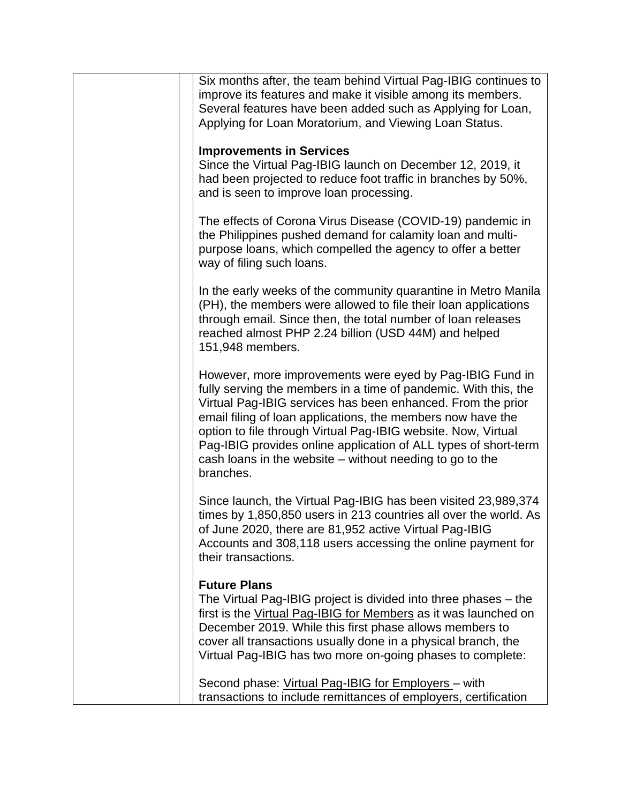| Six months after, the team behind Virtual Pag-IBIG continues to<br>improve its features and make it visible among its members.<br>Several features have been added such as Applying for Loan,<br>Applying for Loan Moratorium, and Viewing Loan Status.                                                                                                                                                                                                                |
|------------------------------------------------------------------------------------------------------------------------------------------------------------------------------------------------------------------------------------------------------------------------------------------------------------------------------------------------------------------------------------------------------------------------------------------------------------------------|
| <b>Improvements in Services</b><br>Since the Virtual Pag-IBIG launch on December 12, 2019, it<br>had been projected to reduce foot traffic in branches by 50%,<br>and is seen to improve loan processing.                                                                                                                                                                                                                                                              |
| The effects of Corona Virus Disease (COVID-19) pandemic in<br>the Philippines pushed demand for calamity loan and multi-<br>purpose loans, which compelled the agency to offer a better<br>way of filing such loans.                                                                                                                                                                                                                                                   |
| In the early weeks of the community quarantine in Metro Manila<br>(PH), the members were allowed to file their loan applications<br>through email. Since then, the total number of loan releases<br>reached almost PHP 2.24 billion (USD 44M) and helped<br>151,948 members.                                                                                                                                                                                           |
| However, more improvements were eyed by Pag-IBIG Fund in<br>fully serving the members in a time of pandemic. With this, the<br>Virtual Pag-IBIG services has been enhanced. From the prior<br>email filing of loan applications, the members now have the<br>option to file through Virtual Pag-IBIG website. Now, Virtual<br>Pag-IBIG provides online application of ALL types of short-term<br>cash loans in the website – without needing to go to the<br>branches. |
| Since launch, the Virtual Pag-IBIG has been visited 23,989,374<br>times by 1,850,850 users in 213 countries all over the world. As<br>of June 2020, there are 81,952 active Virtual Pag-IBIG<br>Accounts and 308,118 users accessing the online payment for<br>their transactions.                                                                                                                                                                                     |
| <b>Future Plans</b><br>The Virtual Pag-IBIG project is divided into three phases – the<br>first is the Virtual Pag-IBIG for Members as it was launched on<br>December 2019. While this first phase allows members to<br>cover all transactions usually done in a physical branch, the<br>Virtual Pag-IBIG has two more on-going phases to complete:                                                                                                                    |
| Second phase: Virtual Pag-IBIG for Employers - with<br>transactions to include remittances of employers, certification                                                                                                                                                                                                                                                                                                                                                 |